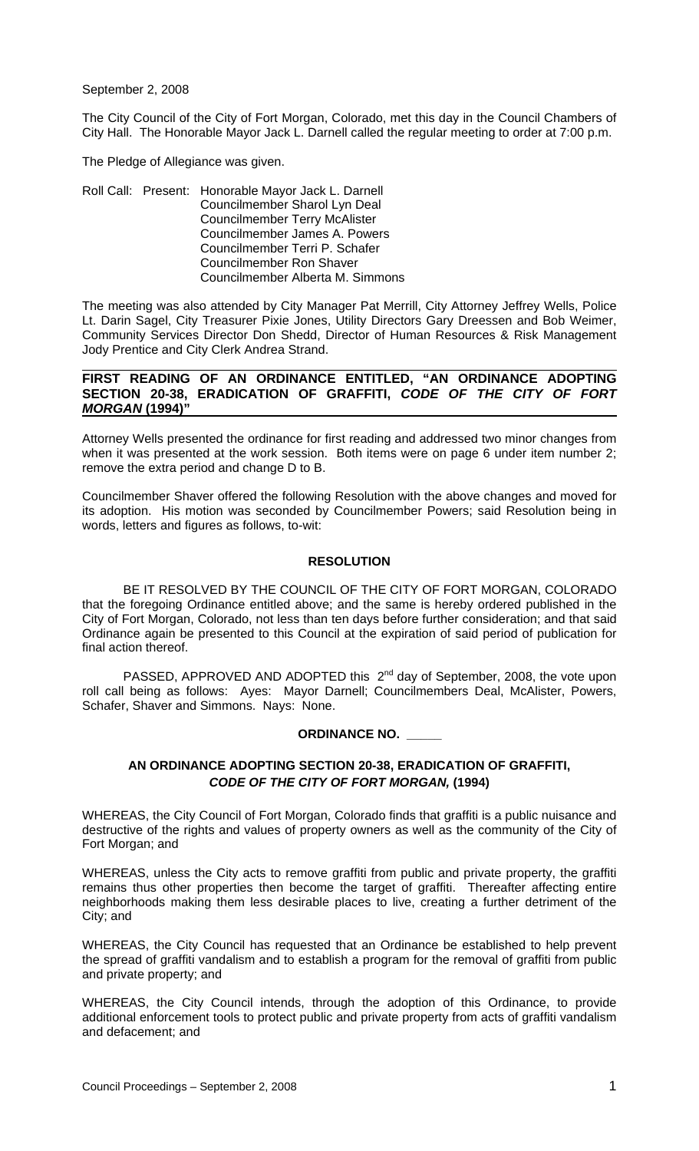September 2, 2008

The City Council of the City of Fort Morgan, Colorado, met this day in the Council Chambers of City Hall. The Honorable Mayor Jack L. Darnell called the regular meeting to order at 7:00 p.m.

The Pledge of Allegiance was given.

Roll Call: Present: Honorable Mayor Jack L. Darnell Councilmember Sharol Lyn Deal Councilmember Terry McAlister Councilmember James A. Powers Councilmember Terri P. Schafer Councilmember Ron Shaver Councilmember Alberta M. Simmons

The meeting was also attended by City Manager Pat Merrill, City Attorney Jeffrey Wells, Police Lt. Darin Sagel, City Treasurer Pixie Jones, Utility Directors Gary Dreessen and Bob Weimer, Community Services Director Don Shedd, Director of Human Resources & Risk Management Jody Prentice and City Clerk Andrea Strand.

## **FIRST READING OF AN ORDINANCE ENTITLED, "AN ORDINANCE ADOPTING SECTION 20-38, ERADICATION OF GRAFFITI,** *CODE OF THE CITY OF FORT MORGAN* **(1994)"**

Attorney Wells presented the ordinance for first reading and addressed two minor changes from when it was presented at the work session. Both items were on page 6 under item number 2; remove the extra period and change D to B.

Councilmember Shaver offered the following Resolution with the above changes and moved for its adoption. His motion was seconded by Councilmember Powers; said Resolution being in words, letters and figures as follows, to-wit:

# **RESOLUTION**

 BE IT RESOLVED BY THE COUNCIL OF THE CITY OF FORT MORGAN, COLORADO that the foregoing Ordinance entitled above; and the same is hereby ordered published in the City of Fort Morgan, Colorado, not less than ten days before further consideration; and that said Ordinance again be presented to this Council at the expiration of said period of publication for final action thereof.

PASSED, APPROVED AND ADOPTED this 2<sup>nd</sup> day of September, 2008, the vote upon roll call being as follows: Ayes: Mayor Darnell; Councilmembers Deal, McAlister, Powers, Schafer, Shaver and Simmons. Nays: None.

### **ORDINANCE NO. \_\_\_\_\_**

# **AN ORDINANCE ADOPTING SECTION 20-38, ERADICATION OF GRAFFITI,**  *CODE OF THE CITY OF FORT MORGAN,* **(1994)**

WHEREAS, the City Council of Fort Morgan, Colorado finds that graffiti is a public nuisance and destructive of the rights and values of property owners as well as the community of the City of Fort Morgan; and

WHEREAS, unless the City acts to remove graffiti from public and private property, the graffiti remains thus other properties then become the target of graffiti. Thereafter affecting entire neighborhoods making them less desirable places to live, creating a further detriment of the City; and

WHEREAS, the City Council has requested that an Ordinance be established to help prevent the spread of graffiti vandalism and to establish a program for the removal of graffiti from public and private property; and

WHEREAS, the City Council intends, through the adoption of this Ordinance, to provide additional enforcement tools to protect public and private property from acts of graffiti vandalism and defacement; and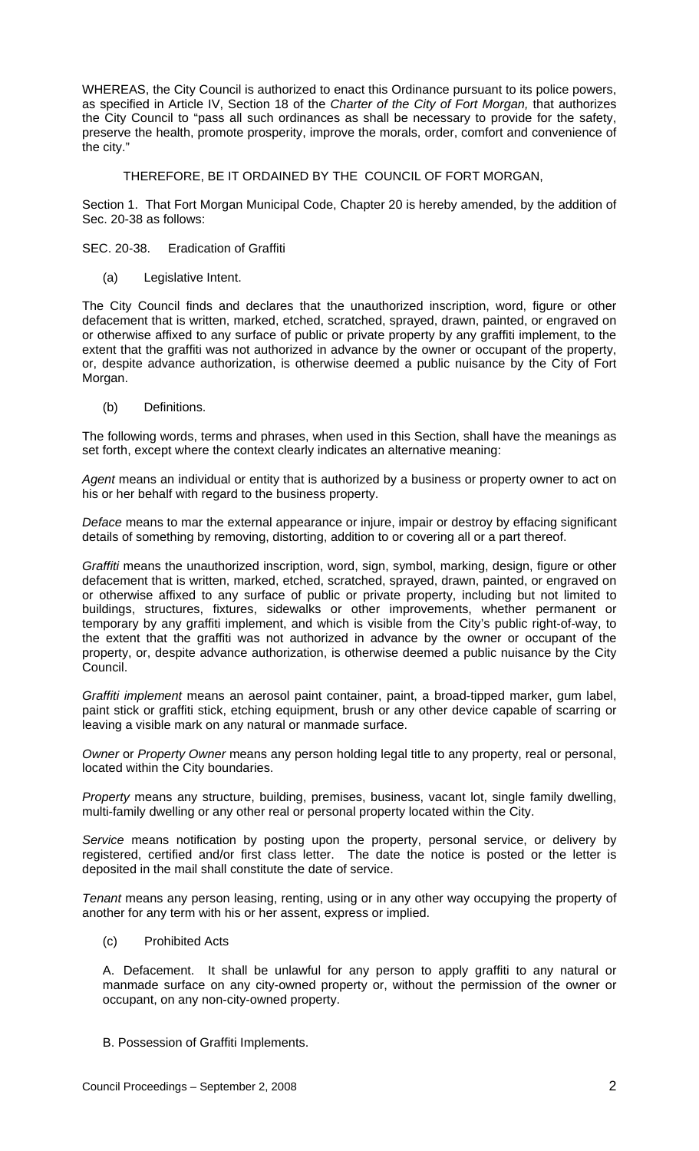WHEREAS, the City Council is authorized to enact this Ordinance pursuant to its police powers, as specified in Article IV, Section 18 of the *Charter of the City of Fort Morgan,* that authorizes the City Council to "pass all such ordinances as shall be necessary to provide for the safety, preserve the health, promote prosperity, improve the morals, order, comfort and convenience of the city."

# THEREFORE, BE IT ORDAINED BY THE COUNCIL OF FORT MORGAN,

Section 1. That Fort Morgan Municipal Code, Chapter 20 is hereby amended, by the addition of Sec. 20-38 as follows:

SEC. 20-38. Eradication of Graffiti

(a) Legislative Intent.

The City Council finds and declares that the unauthorized inscription, word, figure or other defacement that is written, marked, etched, scratched, sprayed, drawn, painted, or engraved on or otherwise affixed to any surface of public or private property by any graffiti implement, to the extent that the graffiti was not authorized in advance by the owner or occupant of the property, or, despite advance authorization, is otherwise deemed a public nuisance by the City of Fort Morgan.

(b) Definitions.

The following words, terms and phrases, when used in this Section, shall have the meanings as set forth, except where the context clearly indicates an alternative meaning:

*Agent* means an individual or entity that is authorized by a business or property owner to act on his or her behalf with regard to the business property.

*Deface* means to mar the external appearance or injure, impair or destroy by effacing significant details of something by removing, distorting, addition to or covering all or a part thereof.

*Graffiti* means the unauthorized inscription, word, sign, symbol, marking, design, figure or other defacement that is written, marked, etched, scratched, sprayed, drawn, painted, or engraved on or otherwise affixed to any surface of public or private property, including but not limited to buildings, structures, fixtures, sidewalks or other improvements, whether permanent or temporary by any graffiti implement, and which is visible from the City's public right-of-way, to the extent that the graffiti was not authorized in advance by the owner or occupant of the property, or, despite advance authorization, is otherwise deemed a public nuisance by the City Council.

*Graffiti implement* means an aerosol paint container, paint, a broad-tipped marker, gum label, paint stick or graffiti stick, etching equipment, brush or any other device capable of scarring or leaving a visible mark on any natural or manmade surface.

*Owner* or *Property Owner* means any person holding legal title to any property, real or personal, located within the City boundaries.

*Property* means any structure, building, premises, business, vacant lot, single family dwelling, multi-family dwelling or any other real or personal property located within the City.

*Service* means notification by posting upon the property, personal service, or delivery by registered, certified and/or first class letter. The date the notice is posted or the letter is deposited in the mail shall constitute the date of service.

*Tenant* means any person leasing, renting, using or in any other way occupying the property of another for any term with his or her assent, express or implied.

(c) Prohibited Acts

A. Defacement. It shall be unlawful for any person to apply graffiti to any natural or manmade surface on any city-owned property or, without the permission of the owner or occupant, on any non-city-owned property.

B. Possession of Graffiti Implements.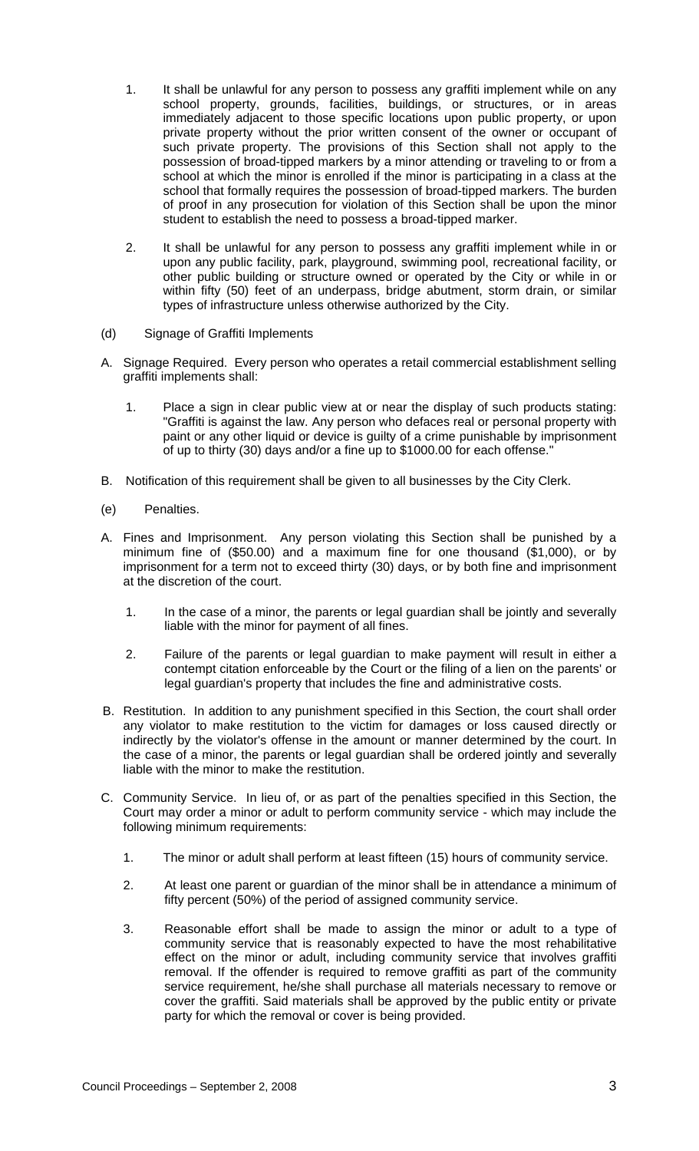- 1. It shall be unlawful for any person to possess any graffiti implement while on any school property, grounds, facilities, buildings, or structures, or in areas immediately adjacent to those specific locations upon public property, or upon private property without the prior written consent of the owner or occupant of such private property. The provisions of this Section shall not apply to the possession of broad-tipped markers by a minor attending or traveling to or from a school at which the minor is enrolled if the minor is participating in a class at the school that formally requires the possession of broad-tipped markers. The burden of proof in any prosecution for violation of this Section shall be upon the minor student to establish the need to possess a broad-tipped marker.
- 2. It shall be unlawful for any person to possess any graffiti implement while in or upon any public facility, park, playground, swimming pool, recreational facility, or other public building or structure owned or operated by the City or while in or within fifty (50) feet of an underpass, bridge abutment, storm drain, or similar types of infrastructure unless otherwise authorized by the City.
- (d) Signage of Graffiti Implements
- A. Signage Required. Every person who operates a retail commercial establishment selling graffiti implements shall:
	- 1. Place a sign in clear public view at or near the display of such products stating: "Graffiti is against the law. Any person who defaces real or personal property with paint or any other liquid or device is guilty of a crime punishable by imprisonment of up to thirty (30) days and/or a fine up to \$1000.00 for each offense."
- B. Notification of this requirement shall be given to all businesses by the City Clerk.
- (e) Penalties.
- A. Fines and Imprisonment. Any person violating this Section shall be punished by a minimum fine of (\$50.00) and a maximum fine for one thousand (\$1,000), or by imprisonment for a term not to exceed thirty (30) days, or by both fine and imprisonment at the discretion of the court.
	- 1. In the case of a minor, the parents or legal guardian shall be jointly and severally liable with the minor for payment of all fines.
	- 2. Failure of the parents or legal guardian to make payment will result in either a contempt citation enforceable by the Court or the filing of a lien on the parents' or legal guardian's property that includes the fine and administrative costs.
- B. Restitution. In addition to any punishment specified in this Section, the court shall order any violator to make restitution to the victim for damages or loss caused directly or indirectly by the violator's offense in the amount or manner determined by the court. In the case of a minor, the parents or legal guardian shall be ordered jointly and severally liable with the minor to make the restitution.
- C. Community Service. In lieu of, or as part of the penalties specified in this Section, the Court may order a minor or adult to perform community service - which may include the following minimum requirements:
	- 1. The minor or adult shall perform at least fifteen (15) hours of community service.
	- 2. At least one parent or guardian of the minor shall be in attendance a minimum of fifty percent (50%) of the period of assigned community service.
	- 3. Reasonable effort shall be made to assign the minor or adult to a type of community service that is reasonably expected to have the most rehabilitative effect on the minor or adult, including community service that involves graffiti removal. If the offender is required to remove graffiti as part of the community service requirement, he/she shall purchase all materials necessary to remove or cover the graffiti. Said materials shall be approved by the public entity or private party for which the removal or cover is being provided.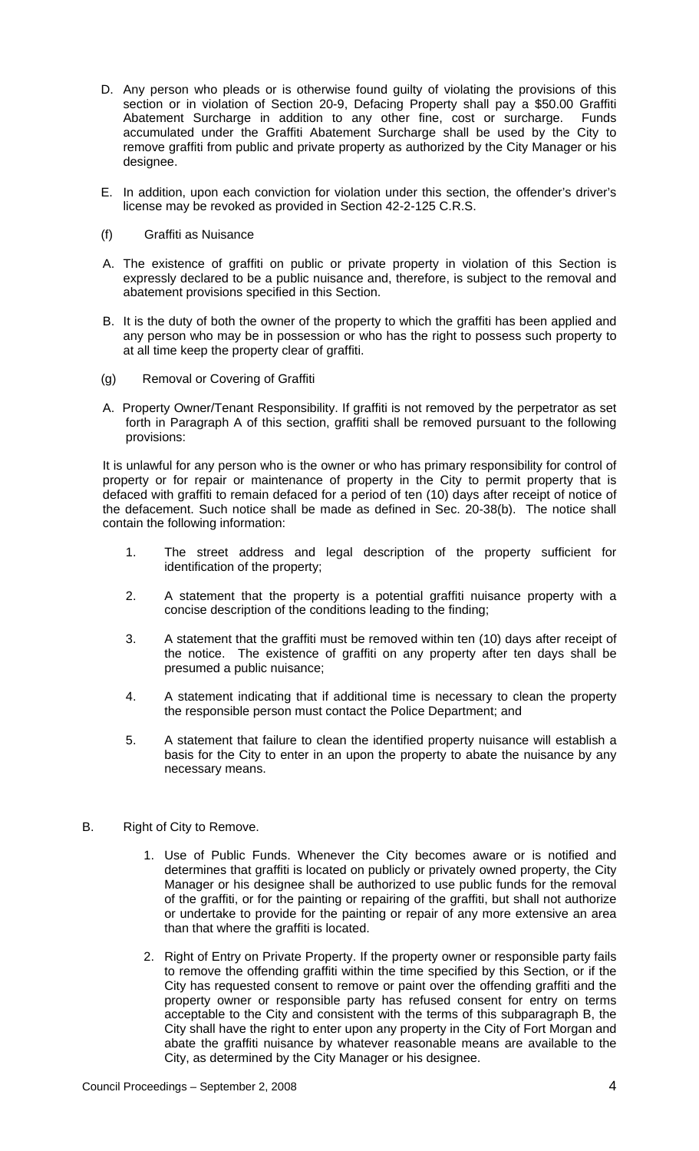- D. Any person who pleads or is otherwise found guilty of violating the provisions of this section or in violation of Section 20-9, Defacing Property shall pay a \$50.00 Graffiti Abatement Surcharge in addition to any other fine, cost or surcharge. Funds accumulated under the Graffiti Abatement Surcharge shall be used by the City to remove graffiti from public and private property as authorized by the City Manager or his designee.
- E. In addition, upon each conviction for violation under this section, the offender's driver's license may be revoked as provided in Section 42-2-125 C.R.S.
- (f) Graffiti as Nuisance
- A. The existence of graffiti on public or private property in violation of this Section is expressly declared to be a public nuisance and, therefore, is subject to the removal and abatement provisions specified in this Section.
- B. It is the duty of both the owner of the property to which the graffiti has been applied and any person who may be in possession or who has the right to possess such property to at all time keep the property clear of graffiti.
- (g) Removal or Covering of Graffiti
- A. Property Owner/Tenant Responsibility. If graffiti is not removed by the perpetrator as set forth in Paragraph A of this section, graffiti shall be removed pursuant to the following provisions:

It is unlawful for any person who is the owner or who has primary responsibility for control of property or for repair or maintenance of property in the City to permit property that is defaced with graffiti to remain defaced for a period of ten (10) days after receipt of notice of the defacement. Such notice shall be made as defined in Sec. 20-38(b). The notice shall contain the following information:

- 1. The street address and legal description of the property sufficient for identification of the property;
- 2. A statement that the property is a potential graffiti nuisance property with a concise description of the conditions leading to the finding;
- 3. A statement that the graffiti must be removed within ten (10) days after receipt of the notice. The existence of graffiti on any property after ten days shall be presumed a public nuisance;
- 4. A statement indicating that if additional time is necessary to clean the property the responsible person must contact the Police Department; and
- 5. A statement that failure to clean the identified property nuisance will establish a basis for the City to enter in an upon the property to abate the nuisance by any necessary means.
- B. Right of City to Remove.
	- 1. Use of Public Funds. Whenever the City becomes aware or is notified and determines that graffiti is located on publicly or privately owned property, the City Manager or his designee shall be authorized to use public funds for the removal of the graffiti, or for the painting or repairing of the graffiti, but shall not authorize or undertake to provide for the painting or repair of any more extensive an area than that where the graffiti is located.
	- 2. Right of Entry on Private Property. If the property owner or responsible party fails to remove the offending graffiti within the time specified by this Section, or if the City has requested consent to remove or paint over the offending graffiti and the property owner or responsible party has refused consent for entry on terms acceptable to the City and consistent with the terms of this subparagraph B, the City shall have the right to enter upon any property in the City of Fort Morgan and abate the graffiti nuisance by whatever reasonable means are available to the City, as determined by the City Manager or his designee.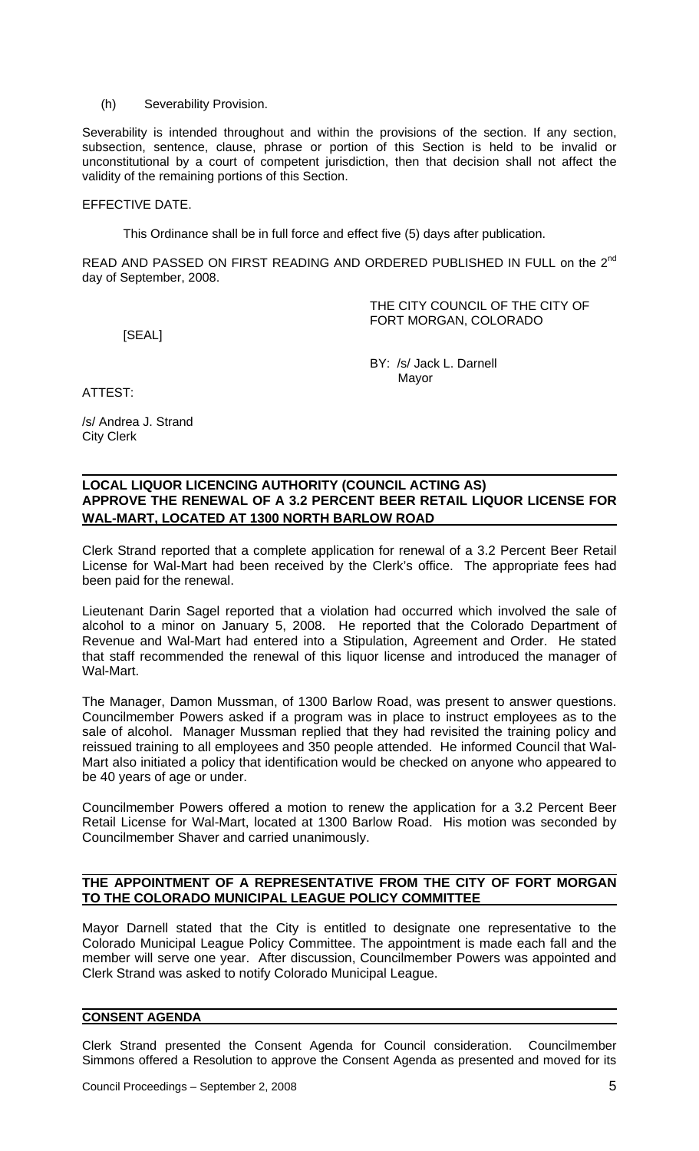(h) Severability Provision.

Severability is intended throughout and within the provisions of the section. If any section, subsection, sentence, clause, phrase or portion of this Section is held to be invalid or unconstitutional by a court of competent jurisdiction, then that decision shall not affect the validity of the remaining portions of this Section.

# EFFECTIVE DATE.

This Ordinance shall be in full force and effect five (5) days after publication.

READ AND PASSED ON FIRST READING AND ORDERED PUBLISHED IN FULL on the 2<sup>nd</sup> day of September, 2008.

[SEAL]

THE CITY COUNCIL OF THE CITY OF FORT MORGAN, COLORADO

 BY: /s/ Jack L. Darnell Mayor

ATTEST:

/s/ Andrea J. Strand City Clerk

# **LOCAL LIQUOR LICENCING AUTHORITY (COUNCIL ACTING AS) APPROVE THE RENEWAL OF A 3.2 PERCENT BEER RETAIL LIQUOR LICENSE FOR WAL-MART, LOCATED AT 1300 NORTH BARLOW ROAD**

Clerk Strand reported that a complete application for renewal of a 3.2 Percent Beer Retail License for Wal-Mart had been received by the Clerk's office. The appropriate fees had been paid for the renewal.

Lieutenant Darin Sagel reported that a violation had occurred which involved the sale of alcohol to a minor on January 5, 2008. He reported that the Colorado Department of Revenue and Wal-Mart had entered into a Stipulation, Agreement and Order. He stated that staff recommended the renewal of this liquor license and introduced the manager of Wal-Mart.

The Manager, Damon Mussman, of 1300 Barlow Road, was present to answer questions. Councilmember Powers asked if a program was in place to instruct employees as to the sale of alcohol. Manager Mussman replied that they had revisited the training policy and reissued training to all employees and 350 people attended. He informed Council that Wal-Mart also initiated a policy that identification would be checked on anyone who appeared to be 40 years of age or under.

Councilmember Powers offered a motion to renew the application for a 3.2 Percent Beer Retail License for Wal-Mart, located at 1300 Barlow Road. His motion was seconded by Councilmember Shaver and carried unanimously.

## **THE APPOINTMENT OF A REPRESENTATIVE FROM THE CITY OF FORT MORGAN TO THE COLORADO MUNICIPAL LEAGUE POLICY COMMITTEE**

Mayor Darnell stated that the City is entitled to designate one representative to the Colorado Municipal League Policy Committee. The appointment is made each fall and the member will serve one year. After discussion, Councilmember Powers was appointed and Clerk Strand was asked to notify Colorado Municipal League.

# **CONSENT AGENDA**

Clerk Strand presented the Consent Agenda for Council consideration. Councilmember Simmons offered a Resolution to approve the Consent Agenda as presented and moved for its